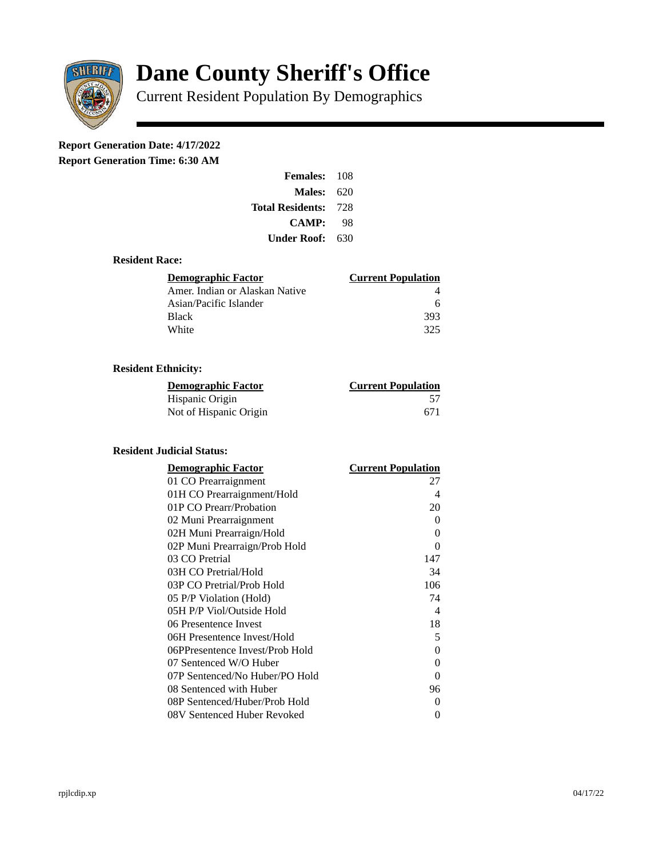

# **Dane County Sheriff's Office**

Current Resident Population By Demographics

# **Report Generation Date: 4/17/2022**

**Report Generation Time: 6:30 AM** 

| Females:         | 108   |
|------------------|-------|
| Males:           | 620   |
| Total Residents: | - 728 |
| <b>CAMP:</b>     | 98    |
| Under Roof: \    | 630   |

#### **Resident Race:**

| Demographic Factor             | <b>Current Population</b> |
|--------------------------------|---------------------------|
| Amer. Indian or Alaskan Native |                           |
| Asian/Pacific Islander         | 6                         |
| Black                          | 393                       |
| White                          | 325                       |

## **Resident Ethnicity:**

| <u>Demographic Factor</u> | <b>Current Population</b> |
|---------------------------|---------------------------|
| Hispanic Origin           | 57                        |
| Not of Hispanic Origin    | 671                       |

#### **Resident Judicial Status:**

| <b>Demographic Factor</b>       | <b>Current Population</b>  |
|---------------------------------|----------------------------|
| 01 CO Prearraignment            | 27                         |
| 01H CO Prearraignment/Hold      | 4                          |
| 01P CO Prearr/Probation         | 20                         |
| 02 Muni Prearraignment          | 0                          |
| 02H Muni Prearraign/Hold        | 0                          |
| 02P Muni Prearraign/Prob Hold   | 0                          |
| 03 CO Pretrial                  | 147                        |
| 03H CO Pretrial/Hold            | 34                         |
| 03P CO Pretrial/Prob Hold       | 106                        |
| 05 P/P Violation (Hold)         | 74                         |
| 05H P/P Viol/Outside Hold       | $\boldsymbol{\mathcal{A}}$ |
| 06 Presentence Invest           | 18                         |
| 06H Presentence Invest/Hold     | 5                          |
| 06PPresentence Invest/Prob Hold | 0                          |
| 07 Sentenced W/O Huber          | 0                          |
| 07P Sentenced/No Huber/PO Hold  | 0                          |
| 08 Sentenced with Huber         | 96                         |
| 08P Sentenced/Huber/Prob Hold   | 0                          |
| 08V Sentenced Huber Revoked     | 0                          |